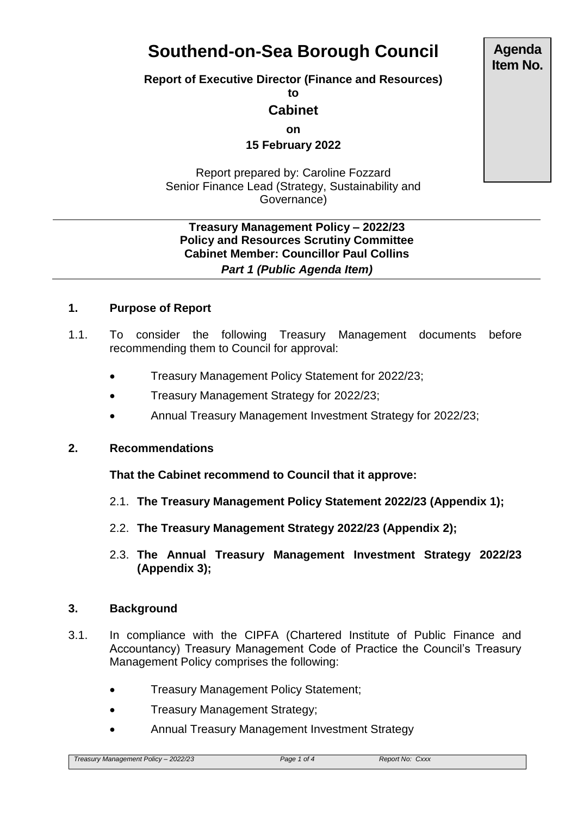# **Southend-on-Sea Borough Council**

**Report of Executive Director (Finance and Resources)**

**to**

## **Cabinet**

**on**

**15 February 2022**

Report prepared by: Caroline Fozzard Senior Finance Lead (Strategy, Sustainability and Governance)

#### **Treasury Management Policy – 2022/23 Policy and Resources Scrutiny Committee Cabinet Member: Councillor Paul Collins** *Part 1 (Public Agenda Item)*

## **1. Purpose of Report**

- 1.1. To consider the following Treasury Management documents before recommending them to Council for approval:
	- Treasury Management Policy Statement for 2022/23;
	- Treasury Management Strategy for 2022/23;
	- Annual Treasury Management Investment Strategy for 2022/23;

## **2. Recommendations**

**That the Cabinet recommend to Council that it approve:**

- 2.1. **The Treasury Management Policy Statement 2022/23 (Appendix 1);**
- 2.2. **The Treasury Management Strategy 2022/23 (Appendix 2);**
- 2.3. **The Annual Treasury Management Investment Strategy 2022/23 (Appendix 3);**

## **3. Background**

- 3.1. In compliance with the CIPFA (Chartered Institute of Public Finance and Accountancy) Treasury Management Code of Practice the Council's Treasury Management Policy comprises the following:
	- Treasury Management Policy Statement;
	- Treasury Management Strategy;
	- Annual Treasury Management Investment Strategy

**Agenda Item No.**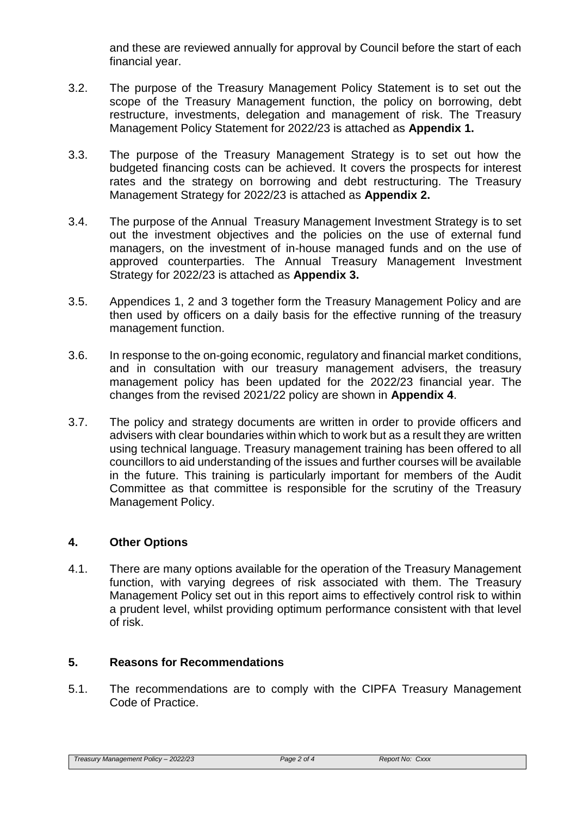and these are reviewed annually for approval by Council before the start of each financial year.

- 3.2. The purpose of the Treasury Management Policy Statement is to set out the scope of the Treasury Management function, the policy on borrowing, debt restructure, investments, delegation and management of risk. The Treasury Management Policy Statement for 2022/23 is attached as **Appendix 1.**
- 3.3. The purpose of the Treasury Management Strategy is to set out how the budgeted financing costs can be achieved. It covers the prospects for interest rates and the strategy on borrowing and debt restructuring. The Treasury Management Strategy for 2022/23 is attached as **Appendix 2.**
- 3.4. The purpose of the Annual Treasury Management Investment Strategy is to set out the investment objectives and the policies on the use of external fund managers, on the investment of in-house managed funds and on the use of approved counterparties. The Annual Treasury Management Investment Strategy for 2022/23 is attached as **Appendix 3.**
- 3.5. Appendices 1, 2 and 3 together form the Treasury Management Policy and are then used by officers on a daily basis for the effective running of the treasury management function.
- 3.6. In response to the on-going economic, regulatory and financial market conditions, and in consultation with our treasury management advisers, the treasury management policy has been updated for the 2022/23 financial year. The changes from the revised 2021/22 policy are shown in **Appendix 4**.
- 3.7. The policy and strategy documents are written in order to provide officers and advisers with clear boundaries within which to work but as a result they are written using technical language. Treasury management training has been offered to all councillors to aid understanding of the issues and further courses will be available in the future. This training is particularly important for members of the Audit Committee as that committee is responsible for the scrutiny of the Treasury Management Policy.

## **4. Other Options**

4.1. There are many options available for the operation of the Treasury Management function, with varying degrees of risk associated with them. The Treasury Management Policy set out in this report aims to effectively control risk to within a prudent level, whilst providing optimum performance consistent with that level of risk.

## **5. Reasons for Recommendations**

5.1. The recommendations are to comply with the CIPFA Treasury Management Code of Practice.

*Treasury Management Policy – 2022/23 Page 2 of 4 Report No: Cxxx*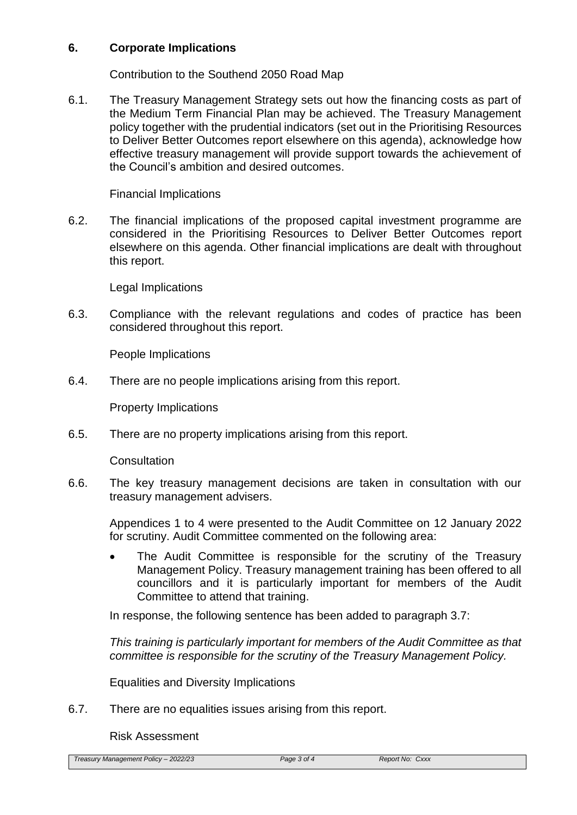#### **6. Corporate Implications**

Contribution to the Southend 2050 Road Map

6.1. The Treasury Management Strategy sets out how the financing costs as part of the Medium Term Financial Plan may be achieved. The Treasury Management policy together with the prudential indicators (set out in the Prioritising Resources to Deliver Better Outcomes report elsewhere on this agenda), acknowledge how effective treasury management will provide support towards the achievement of the Council's ambition and desired outcomes.

Financial Implications

6.2. The financial implications of the proposed capital investment programme are considered in the Prioritising Resources to Deliver Better Outcomes report elsewhere on this agenda. Other financial implications are dealt with throughout this report.

Legal Implications

6.3. Compliance with the relevant regulations and codes of practice has been considered throughout this report.

People Implications

6.4. There are no people implications arising from this report.

Property Implications

6.5. There are no property implications arising from this report.

**Consultation** 

6.6. The key treasury management decisions are taken in consultation with our treasury management advisers.

Appendices 1 to 4 were presented to the Audit Committee on 12 January 2022 for scrutiny. Audit Committee commented on the following area:

 The Audit Committee is responsible for the scrutiny of the Treasury Management Policy. Treasury management training has been offered to all councillors and it is particularly important for members of the Audit Committee to attend that training.

In response, the following sentence has been added to paragraph 3.7:

*This training is particularly important for members of the Audit Committee as that committee is responsible for the scrutiny of the Treasury Management Policy.*

Equalities and Diversity Implications

6.7. There are no equalities issues arising from this report.

Risk Assessment

*Treasury Management Policy – 2022/23 Page 3 of 4 Report No: Cxxx*